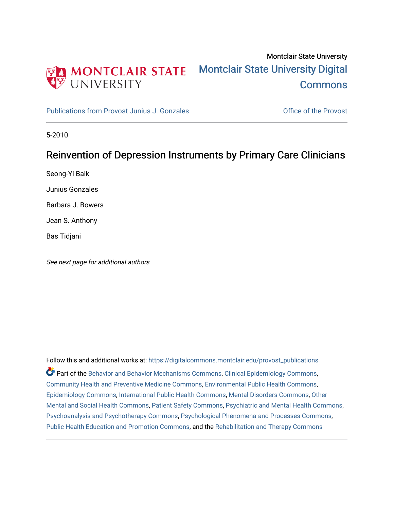

# Montclair State University [Montclair State University Digital](https://digitalcommons.montclair.edu/)  **Commons**

[Publications from Provost Junius J. Gonzales](https://digitalcommons.montclair.edu/provost_publications) **Constanting Constanting Constanting Constanting Constanting Constanting Constanting Constanting Constanting Constanting Constanting Constanting Constanting Constanting Constant** 

5-2010

## Reinvention of Depression Instruments by Primary Care Clinicians

Seong-Yi Baik

Junius Gonzales

Barbara J. Bowers

Jean S. Anthony

Bas Tidjani

See next page for additional authors

Follow this and additional works at: [https://digitalcommons.montclair.edu/provost\\_publications](https://digitalcommons.montclair.edu/provost_publications?utm_source=digitalcommons.montclair.edu%2Fprovost_publications%2F9&utm_medium=PDF&utm_campaign=PDFCoverPages)  Part of the [Behavior and Behavior Mechanisms Commons,](http://network.bepress.com/hgg/discipline/963?utm_source=digitalcommons.montclair.edu%2Fprovost_publications%2F9&utm_medium=PDF&utm_campaign=PDFCoverPages) [Clinical Epidemiology Commons,](http://network.bepress.com/hgg/discipline/815?utm_source=digitalcommons.montclair.edu%2Fprovost_publications%2F9&utm_medium=PDF&utm_campaign=PDFCoverPages) [Community Health and Preventive Medicine Commons](http://network.bepress.com/hgg/discipline/744?utm_source=digitalcommons.montclair.edu%2Fprovost_publications%2F9&utm_medium=PDF&utm_campaign=PDFCoverPages), [Environmental Public Health Commons](http://network.bepress.com/hgg/discipline/739?utm_source=digitalcommons.montclair.edu%2Fprovost_publications%2F9&utm_medium=PDF&utm_campaign=PDFCoverPages), [Epidemiology Commons,](http://network.bepress.com/hgg/discipline/740?utm_source=digitalcommons.montclair.edu%2Fprovost_publications%2F9&utm_medium=PDF&utm_campaign=PDFCoverPages) [International Public Health Commons](http://network.bepress.com/hgg/discipline/746?utm_source=digitalcommons.montclair.edu%2Fprovost_publications%2F9&utm_medium=PDF&utm_campaign=PDFCoverPages), [Mental Disorders Commons,](http://network.bepress.com/hgg/discipline/968?utm_source=digitalcommons.montclair.edu%2Fprovost_publications%2F9&utm_medium=PDF&utm_campaign=PDFCoverPages) [Other](http://network.bepress.com/hgg/discipline/717?utm_source=digitalcommons.montclair.edu%2Fprovost_publications%2F9&utm_medium=PDF&utm_campaign=PDFCoverPages)  [Mental and Social Health Commons,](http://network.bepress.com/hgg/discipline/717?utm_source=digitalcommons.montclair.edu%2Fprovost_publications%2F9&utm_medium=PDF&utm_campaign=PDFCoverPages) [Patient Safety Commons,](http://network.bepress.com/hgg/discipline/1410?utm_source=digitalcommons.montclair.edu%2Fprovost_publications%2F9&utm_medium=PDF&utm_campaign=PDFCoverPages) [Psychiatric and Mental Health Commons](http://network.bepress.com/hgg/discipline/711?utm_source=digitalcommons.montclair.edu%2Fprovost_publications%2F9&utm_medium=PDF&utm_campaign=PDFCoverPages), [Psychoanalysis and Psychotherapy Commons,](http://network.bepress.com/hgg/discipline/716?utm_source=digitalcommons.montclair.edu%2Fprovost_publications%2F9&utm_medium=PDF&utm_campaign=PDFCoverPages) [Psychological Phenomena and Processes Commons](http://network.bepress.com/hgg/discipline/914?utm_source=digitalcommons.montclair.edu%2Fprovost_publications%2F9&utm_medium=PDF&utm_campaign=PDFCoverPages), [Public Health Education and Promotion Commons,](http://network.bepress.com/hgg/discipline/743?utm_source=digitalcommons.montclair.edu%2Fprovost_publications%2F9&utm_medium=PDF&utm_campaign=PDFCoverPages) and the [Rehabilitation and Therapy Commons](http://network.bepress.com/hgg/discipline/749?utm_source=digitalcommons.montclair.edu%2Fprovost_publications%2F9&utm_medium=PDF&utm_campaign=PDFCoverPages)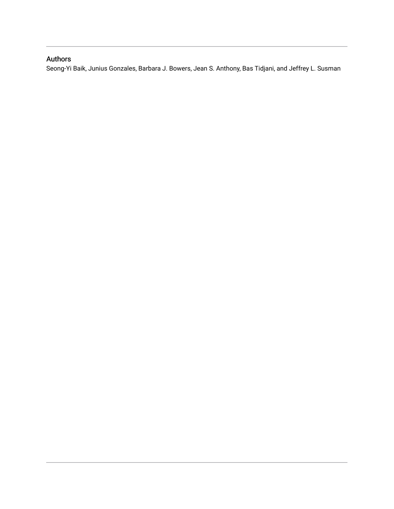## Authors

Seong-Yi Baik, Junius Gonzales, Barbara J. Bowers, Jean S. Anthony, Bas Tidjani, and Jeffrey L. Susman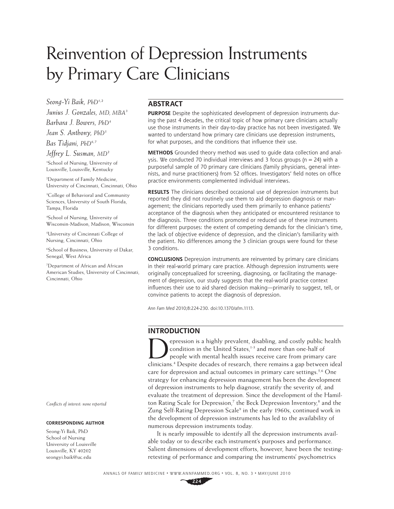# Reinvention of Depression Instruments by Primary Care Clinicians

*Seong-Yi Baik, PhD1,2 Junius J. Gonzales, MD, MBA3 Barbara J. Bowers, PhD4 Jean S. Anthony, PhD5 Bas Tidjani, PhD6,7*

*Jeffrey L. Susman, MD2*

1 School of Nursing, University of Louisville, Louisville, Kentucky

2 Department of Family Medicine, University of Cincinnati, Cincinnati, Ohio

<sup>3</sup>College of Behavioral and Community Sciences, University of South Florida, Tampa, Florida

4 School of Nursing, University of Wisconsin-Madison, Madison, Wisconsin

5 University of Cincinnati College of Nursing, Cincinnati, Ohio

6 School of Business, University of Dakar, Senegal, West Africa

7 Department of African and African American Studies, University of Cincinnati, Cincinnati, Ohio

*Confl icts of interest: none reported*

#### **CORRESPONDING AUTHOR**

Seong-Yi Baik, PhD School of Nursing University of Louisville Louisville, KY 40202 seongyi.baik@uc.edu

#### **ABSTRACT**

**PURPOSE** Despite the sophisticated development of depression instruments during the past 4 decades, the critical topic of how primary care clinicians actually use those instruments in their day-to-day practice has not been investigated. We wanted to understand how primary care clinicians use depression instruments, for what purposes, and the conditions that influence their use.

**METHODS** Grounded theory method was used to guide data collection and analysis. We conducted 70 individual interviews and 3 focus groups ( $n = 24$ ) with a purposeful sample of 70 primary care clinicians (family physicians, general internists, and nurse practitioners) from 52 offices. Investigators' field notes on office practice environments complemented individual interviews.

**RESULTS** The clinicians described occasional use of depression instruments but reported they did not routinely use them to aid depression diagnosis or management; the clinicians reportedly used them primarily to enhance patients' acceptance of the diagnosis when they anticipated or encountered resistance to the diagnosis. Three conditions promoted or reduced use of these instruments for different purposes: the extent of competing demands for the clinician's time, the lack of objective evidence of depression, and the clinician's familiarity with the patient. No differences among the 3 clinician groups were found for these 3 conditions.

**CONCLUSIONS** Depression instruments are reinvented by primary care clinicians in their real-world primary care practice. Although depression instruments were originally conceptualized for screening, diagnosing, or facilitating the management of depression, our study suggests that the real-world practice context influences their use to aid shared decision making—primarily to suggest, tell, or convince patients to accept the diagnosis of depression.

Ann Fam Med 2010;8:224-230. doi:10.1370/afm.1113.

### **INTRODUCTION**

**Depression is a highly prevalent, disabling, and costly public health**<br>
condition in the United States,<sup>1-3</sup> and more than one-half of<br>
people with mental health issues receive care from primary care<br>
elimining 4 December condition in the United States,<sup>1-3</sup> and more than one-half of clinicians.4 Despite decades of research, there remains a gap between ideal care for depression and actual outcomes in primary care settings.<sup>5,6</sup> One strategy for enhancing depression management has been the development of depression instruments to help diagnose, stratify the severity of, and evaluate the treatment of depression. Since the development of the Hamilton Rating Scale for Depression,<sup>7</sup> the Beck Depression Inventory,<sup>8</sup> and the Zung Self-Rating Depression Scale<sup>9</sup> in the early 1960s, continued work in the development of depression instruments has led to the availability of numerous depression instruments today.

It is nearly impossible to identify all the depression instruments available today or to describe each instrument's purposes and performance. Salient dimensions of development efforts, however, have been the testingretesting of performance and comparing the instruments' psychometrics

ANNALS OF FAMILY MEDICINE ✦ WWW.ANNFAMMED.ORG ✦ VOL. 8, NO. 3 ✦ MAY/JUNE 2010

**224**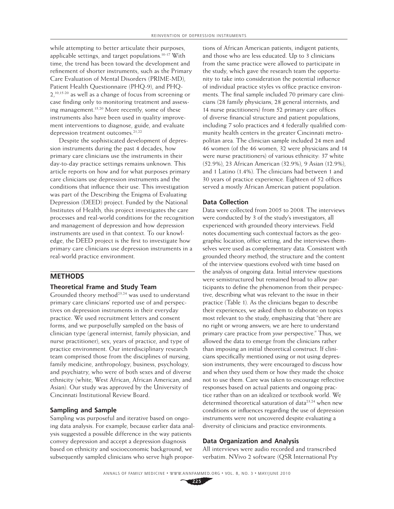while attempting to better articulate their purposes, applicable settings, and target populations.10-17 With time, the trend has been toward the development and refinement of shorter instruments, such as the Primary Care Evaluation of Mental Disorders (PRIME-MD), Patient Health Questionnaire (PHQ-9), and PHQ- $2,10,15-20$  as well as a change of focus from screening or case finding only to monitoring treatment and assessing management.15,20 More recently, some of these instruments also have been used in quality improvement interventions to diagnose, guide, and evaluate depression treatment outcomes.<sup>21,22</sup>

Despite the sophisticated development of depression instruments during the past 4 decades, how primary care clinicians use the instruments in their day-to-day practice settings remains unknown. This article reports on how and for what purposes primary care clinicians use depression instruments and the conditions that influence their use. This investigation was part of the Describing the Enigma of Evaluating Depression (DEED) project. Funded by the National Institutes of Health, this project investigates the care processes and real-world conditions for the recognition and management of depression and how depression instruments are used in that context. To our knowledge, the DEED project is the first to investigate how primary care clinicians use depression instruments in a real-world practice environment.

#### **METHODS**

#### **Theoretical Frame and Study Team**

Grounded theory method<sup>23,24</sup> was used to understand primary care clinicians' reported use of and perspectives on depression instruments in their everyday practice. We used recruitment letters and consent forms, and we purposefully sampled on the basis of clinician type (general internist, family physician, and nurse practitioner), sex, years of practice, and type of practice environment. Our interdisciplinary research team comprised those from the disciplines of nursing, family medicine, anthropology, business, psychology, and psychiatry, who were of both sexes and of diverse ethnicity (white, West African, African American, and Asian). Our study was approved by the University of Cincinnati Institutional Review Board.

#### **Sampling and Sample**

Sampling was purposeful and iterative based on ongoing data analysis. For example, because earlier data analysis suggested a possible difference in the way patients convey depression and accept a depression diagnosis based on ethnicity and socioeconomic background, we subsequently sampled clinicians who serve high proportions of African American patients, indigent patients, and those who are less educated. Up to 3 clinicians from the same practice were allowed to participate in the study, which gave the research team the opportunity to take into consideration the potential influence of individual practice styles vs office practice environments. The final sample included 70 primary care clinicians (28 family physicians, 28 general internists, and 14 nurse practitioners) from 52 primary care offices of diverse financial structure and patient populations, including 7 solo practices and 4 federally qualified community health centers in the greater Cincinnati metropolitan area. The clinician sample included 24 men and 46 women (of the 46 women, 32 were physicians and 14 were nurse practitioners) of various ethnicity: 37 white (52.9%), 23 African American (32.9%), 9 Asian (12.9%), and 1 Latino (1.4%). The clinicians had between 1 and 30 years of practice experience. Eighteen of 52 offices served a mostly African American patient population.

#### **Data Collection**

Data were collected from 2005 to 2008. The interviews were conducted by 3 of the study's investigators, all experienced with grounded theory interviews. Field notes documenting such contextual factors as the geographic location, office setting, and the interviews themselves were used as complementary data. Consistent with grounded theory method, the structure and the content of the interview questions evolved with time based on the analysis of ongoing data. Initial interview questions were semistructured but remained broad to allow participants to define the phenomenon from their perspective, describing what was relevant to the issue in their practice (Table 1). As the clinicians began to describe their experiences, we asked them to elaborate on topics most relevant to the study, emphasizing that "there are no right or wrong answers; we are here to understand primary care practice from *your* perspective." Thus, we allowed the data to emerge from the clinicians rather than imposing an initial theoretical construct. If clinicians specifically mentioned using or not using depression instruments, they were encouraged to discuss how and when they used them or how they made the choice not to use them. Care was taken to encourage reflective responses based on actual patients and ongoing practice rather than on an idealized or textbook world. We determined theoretical saturation of data<sup>23,24</sup> when new conditions or influences regarding the use of depression instruments were not uncovered despite evaluating a diversity of clinicians and practice environments.

#### **Data Organization and Analysis**

All interviews were audio recorded and transcribed verbatim. NVivo 2 software (QSR International Pty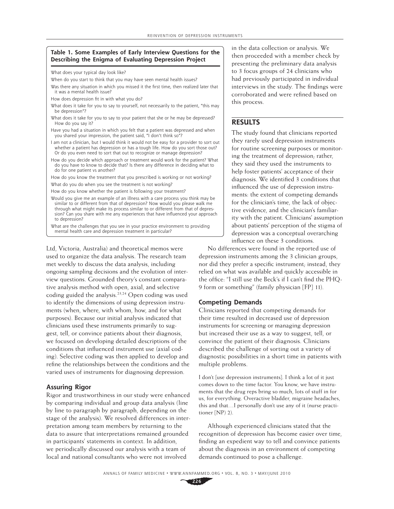#### **Table 1. Some Examples of Early Interview Questions for the Describing the Enigma of Evaluating Depression Project**

When do you start to think that you may have seen mental health issues?

Was there any situation in which you missed it the first time, then realized later that it was a mental health issue?

How does depression fit in with what you do?

- What does it take for you to say to yourself, not necessarily to the patient, "this may be depression"?
- What does it take for you to say to your patient that she or he may be depressed? How do you say it?
- Have you had a situation in which you felt that a patient was depressed and when you shared your impression, the patient said, "I don't think so"?
- I am not a clinician, but I would think it would not be easy for a provider to sort out whether a patient has depression or has a tough life. How do you sort those out? Or do you even need to sort that out to recognize or manage depression?
- How do you decide which approach or treatment would work for the patient? What do you have to know to decide that? Is there any difference in deciding what to do for one patient vs another?
- How do you know the treatment that you prescribed is working or not working?

What do you do when you see the treatment is not working?

- How do you know whether the patient is following your treatment?
- Would you give me an example of an illness with a care process you think may be similar to or different from that of depression? Now would you please walk me through what might make its process similar to or different from that of depression? Can you share with me any experiences that have influenced your approach to depression?
- What are the challenges that you see in your practice environment to providing mental health care and depression treatment in particular?

Ltd, Victoria, Australia) and theoretical memos were used to organize the data analysis. The research team met weekly to discuss the data analysis, including ongoing sampling decisions and the evolution of interview questions. Grounded theory's constant comparative analysis method with open, axial, and selective coding guided the analysis.23,24 Open coding was used to identify the dimensions of using depression instruments (when, where, with whom, how, and for what purposes). Because our initial analysis indicated that clinicians used these instruments primarily to suggest, tell, or convince patients about their diagnosis, we focused on developing detailed descriptions of the conditions that influenced instrument use (axial coding). Selective coding was then applied to develop and refine the relationships between the conditions and the varied uses of instruments for diagnosing depression.

#### **Assuring Rigor**

Rigor and trustworthiness in our study were enhanced by comparing individual and group data analysis (line by line to paragraph by paragraph, depending on the stage of the analysis). We resolved differences in interpretation among team members by returning to the data to assure that interpretations remained grounded in participants' statements in context. In addition, we periodically discussed our analysis with a team of local and national consultants who were not involved

in the data collection or analysis. We then proceeded with a member check by presenting the preliminary data analysis to 3 focus groups of 24 clinicians who had previously participated in individual interviews in the study. The findings were corroborated and were refined based on this process.

#### **RESULTS**

The study found that clinicians reported they rarely used depression instruments for routine screening purposes or monitoring the treatment of depression; rather, they said they used the instruments to help foster patients' acceptance of their diagnosis. We identified 3 conditions that influenced the use of depression instruments: the extent of competing demands for the clinician's time, the lack of objective evidence, and the clinician's familiarity with the patient. Clinicians' assumption about patients' perception of the stigma of depression was a conceptual overarching influence on these 3 conditions.

No differences were found in the reported use of depression instruments among the 3 clinician groups, nor did they prefer a specific instrument; instead, they relied on what was available and quickly accessible in the office: "I still use the Beck's if I can't find the PHQ-9 form or something" (family physician [FP] 11).

#### **Competing Demands**

Clinicians reported that competing demands for their time resulted in decreased use of depression instruments for screening or managing depression but increased their use as a way to suggest, tell, or convince the patient of their diagnosis. Clinicians described the challenge of sorting out a variety of diagnostic possibilities in a short time in patients with multiple problems.

I don't [use depression instruments]. I think a lot of it just comes down to the time factor. You know, we have instruments that the drug reps bring so much, lots of stuff in for us, for everything. Overactive bladder, migraine headaches, this and that…I personally don't use any of it (nurse practitioner [NP) 2).

Although experienced clinicians stated that the recognition of depression has become easier over time, finding an expedient way to tell and convince patients about the diagnosis in an environment of competing demands continued to pose a challenge.

**226**

What does your typical day look like?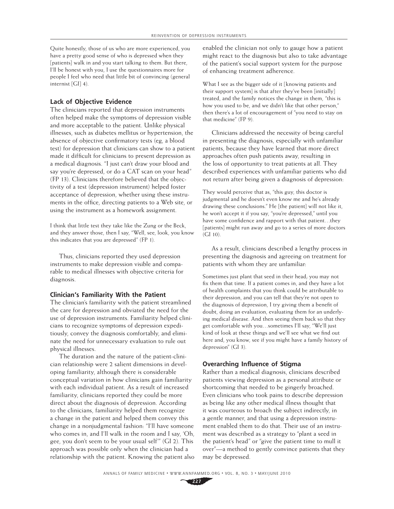Quite honestly, those of us who are more experienced, you have a pretty good sense of who is depressed when they [patients] walk in and you start talking to them. But there, I'll be honest with you, I use the questionnaires more for people I feel who need that little bit of convincing (general internist [GI] 4).

#### **Lack of Objective Evidence**

The clinicians reported that depression instruments often helped make the symptoms of depression visible and more acceptable to the patient. Unlike physical illnesses, such as diabetes mellitus or hypertension, the absence of objective confirmatory tests (eg, a blood test) for depression that clinicians can show to a patient made it difficult for clinicians to present depression as a medical diagnosis. "I just can't draw your blood and say you're depressed, or do a CAT scan on your head" (FP 13). Clinicians therefore believed that the objectivity of a test (depression instrument) helped foster acceptance of depression, whether using these instruments in the office, directing patients to a Web site, or using the instrument as a homework assignment.

I think that little test they take like the Zung or the Beck, and they answer those, then I say, "Well, see, look, you know this indicates that you are depressed" (FP 1).

Thus, clinicians reported they used depression instruments to make depression visible and comparable to medical illnesses with objective criteria for diagnosis.

#### **Clinician's Familiarity With the Patient**

The clinician's familiarity with the patient streamlined the care for depression and obviated the need for the use of depression instruments. Familiarity helped clinicians to recognize symptoms of depression expeditiously, convey the diagnosis comfortably, and eliminate the need for unnecessary evaluation to rule out physical illnesses.

The duration and the nature of the patient-clinician relationship were 2 salient dimensions in developing familiarity, although there is considerable conceptual variation in how clinicians gain familiarity with each individual patient. As a result of increased familiarity, clinicians reported they could be more direct about the diagnosis of depression. According to the clinicians, familiarity helped them recognize a change in the patient and helped them convey this change in a nonjudgmental fashion: "I'll have someone who comes in, and I'll walk in the room and I say, 'Oh, gee, you don't seem to be your usual self'" (GI 2). This approach was possible only when the clinician had a relationship with the patient. Knowing the patient also enabled the clinician not only to gauge how a patient might react to the diagnosis but also to take advantage of the patient's social support system for the purpose of enhancing treatment adherence.

What I see as the bigger side of it [knowing patients and their support system] is that after they've been [initially] treated, and the family notices the change in them, "this is how you used to be, and we didn't like that other person," then there's a lot of encouragement of "you need to stay on that medicine" (FP 9).

Clinicians addressed the necessity of being careful in presenting the diagnosis, especially with unfamiliar patients, because they have learned that more direct approaches often push patients away, resulting in the loss of opportunity to treat patients at all. They described experiences with unfamiliar patients who did not return after being given a diagnosis of depression:

They would perceive that as, "this guy, this doctor is judgmental and he doesn't even know me and he's already drawing these conclusions." He [the patient] will not like it, he won't accept it if you say, "you're depressed," until you have some confidence and rapport with that patient...they [patients] might run away and go to a series of more doctors (GI 10).

As a result, clinicians described a lengthy process in presenting the diagnosis and agreeing on treatment for patients with whom they are unfamiliar:

Sometimes just plant that seed in their head; you may not fix them that time. If a patient comes in, and they have a lot of health complaints that you think could be attributable to their depression, and you can tell that they're not open to the diagnosis of depression, I try giving them a benefit of doubt, doing an evaluation, evaluating them for an underlying medical disease. And then seeing them back so that they get comfortable with you…sometimes I'll say, "We'll just kind of look at these things and we'll see what we find out here and, you know, see if you might have a family history of depression" (GI 3).

#### **Overarching Influence of Stigma**

Rather than a medical diagnosis, clinicians described patients viewing depression as a personal attribute or shortcoming that needed to be gingerly broached. Even clinicians who took pains to describe depression as being like any other medical illness thought that it was courteous to broach the subject indirectly, in a gentle manner, and that using a depression instrument enabled them to do that. Their use of an instrument was described as a strategy to "plant a seed in the patient's head" or "give the patient time to mull it over"—a method to gently convince patients that they may be depressed.

**227**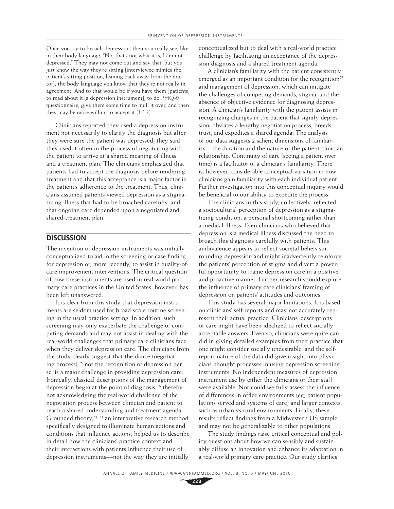Once you try to broach depression, then you really see, like in their body language, "No, that's not what it is, I am not depressed." They may not come out and say that, but you just know the way they're sitting [interviewee mimics the patient's sitting position, leaning back away from the doctor], the body language you know that they're not really in agreement. And so that would be if you have them [patients] to read about it [a depression instrument], to do PHQ-9 questionnaire, give them some time to mull it over, and then they may be more willing to accept it (FP 3).

Clinicians reported they used a depression instrument not necessarily to clarify the diagnosis but after they were sure the patient was depressed; they said they used it often in the process of negotiating with the patient to arrive at a shared meaning of illness and a treatment plan. The clinicians emphasized that patients had to accept the diagnosis before rendering treatment and that this acceptance is a major factor in the patient's adherence to the treatment. Thus, clinicians assumed patients viewed depression as a stigmatizing illness that had to be broached carefully, and that ongoing care depended upon a negotiated and shared treatment plan.

#### **DISCUSSION**

The invention of depression instruments was initially conceptualized to aid in the screening or case finding for depression or, more recently, to assist in quality-ofcare improvement interventions. The critical question of how these instruments are used in real-world primary care practices in the United States, however, has been left unanswered.

It is clear from this study that depression instruments are seldom used for broad-scale routine screening in the usual practice setting. In addition, such screening may only exacerbate the challenge of competing demands and may not assist in dealing with the real-world challenges that primary care clinicians face when they deliver depression care. The clinicians from the study clearly suggest that the dance (negotiating process), $25$  not the recognition of depression per se, is a major challenge in providing depression care. Ironically, classical descriptions of the management of depression begin at the point of diagnosis,<sup>26</sup> thereby not acknowledging the real-world challenge of the negotiation process between clinician and patient to reach a shared understanding and treatment agenda. Grounded theory,<sup>23, 24</sup> an interpretive research method specifically designed to illuminate human actions and conditions that influence actions, helped us to describe in detail how the clinicians' practice context and their interactions with patients influence their use of depression instruments—not the way they are initially

conceptualized but to deal with a real-world practice challenge by facilitating an acceptance of the depression diagnosis and a shared treatment agenda.

A clinician's familiarity with the patient consistently emerged as an important condition for the recognition<sup>27</sup> and management of depression, which can mitigate the challenges of competing demands, stigma, and the absence of objective evidence for diagnosing depression. A clinician's familiarity with the patient assists in recognizing changes in the patient that signify depression, obviates a lengthy negotiation process, breeds trust, and expedites a shared agenda. The analysis of our data suggests 2 salient dimensions of familiarity—the duration and the nature of the patient-clinician relationship. Continuity of care (seeing a patient over time) is a facilitator of a clinician's familiarity. There is, however, considerable conceptual variation in how clinicians gain familiarity with each individual patient. Further investigation into this conceptual inquiry would be beneficial to our ability to expedite the process.

The clinicians in this study, collectively, reflected a sociocultural perception of depression as a stigmatizing condition, a personal shortcoming rather than a medical illness. Even clinicians who believed that depression is a medical illness discussed the need to broach this diagnosis carefully with patients. This ambivalence appears to reflect societal beliefs surrounding depression and might inadvertently reinforce the patients' perception of stigma and divert a powerful opportunity to frame depression care in a positive and proactive manner. Further research should explore the influence of primary care clinicians' framing of depression on patients' attitudes and outcomes.

This study has several major limitations. It is based on clinicians' self-reports and may not accurately represent their actual practice. Clinicians' descriptions of care might have been idealized to reflect socially acceptable answers. Even so, clinicians were quite candid in giving detailed examples from their practice that one might consider socially undesirable, and the selfreport nature of the data did give insight into physicians' thought processes in using depression screening instruments. No independent measures of depression instrument use by either the clinicians or their staff were available. Nor could we fully assess the influence of differences in office environments (eg, patient populations served and systems of care) and larger contexts, such as urban vs rural environments. Finally, these results reflect findings from a Midwestern US sample and may not be generalizable to other populations.

The study findings raise critical conceptual and policy questions about how we can sensibly and sustainably diffuse an innovation and enhance its adaptation in a real-world primary care practice. Our study clarifies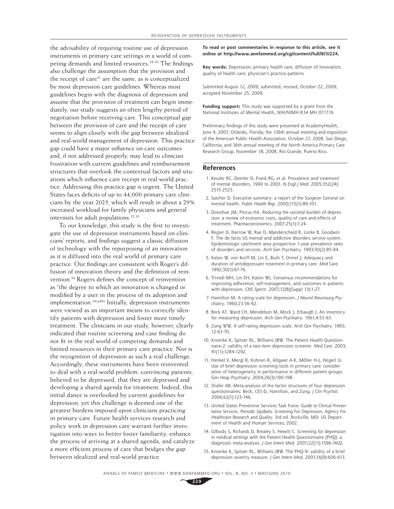the advisability of requiring routine use of depression instruments in primary care settings in a world of competing demands and limited resources.<sup>28-30</sup> The findings also challenge the assumption that the provision and the receipt of care $31$  are the same, as is conceptualized by most depression care guidelines. Whereas most guidelines begin with the diagnosis of depression and assume that the provision of treatment can begin immediately, our study suggests an often lengthy period of negotiation before receiving care. This conceptual gap between the provision of care and the receipt of care seems to align closely with the gap between idealized and real-world management of depression. This practice gap could have a major influence on care outcomes and, if not addressed properly, may lead to clinician frustration with current guidelines and reimbursement structures that overlook the contextual factors and situations which influence care receipt in real-world practice. Addressing this practice gap is urgent. The United States faces deficits of up to 44,000 primary care clinicians by the year 2025, which will result in about a 29% increased workload for family physicians and general internists for adult populations.<sup>32,33</sup>

To our knowledge, this study is the first to investigate the use of depression instruments based on clinicians' reports, and findings suggest a classic diffusion of technology with the repurposing of an innovation as it is diffused into the real world of primary care practice. Our findings are consistent with Roger's diffusion of innovation theory and the definition of reinvention.<sup>34</sup> Rogers defines the concept of reinvention as "the degree to which an innovation is changed or modified by a user in the process of its adoption and implementation.34(p80) Initially, depression instruments were viewed as an important means to correctly identify patients with depression and foster more timely treatment. The clinicians in our study, however, clearly indicated that routine screening and case finding do not fit in the real world of competing demands and limited resources in their primary care practice. Nor is the recognition of depression as such a real challenge. Accordingly, these instruments have been reinvented to deal with a real-world problem: convincing patients, believed to be depressed, that they are depressed and developing a shared agenda for treatment. Indeed, this initial dance is overlooked by current guidelines for depression, yet this challenge is deemed one of the greatest burdens imposed upon clinicians practicing in primary care. Future health services research and policy work in depression care warrant further investigation into ways to better foster familiarity, enhance the process of arriving at a shared agenda, and catalyze a more efficient process of care that bridges the gap between idealized and real-world practice.

#### **To read or post commentaries in response to this article, see it online at http://www.annfammed.org/cgi/content/full/8/3/224.**

**Key words:** Depression; primary health care, diffusion of innovation; quality of health care; physician's practice patterns

Submitted August 12, 2009; submitted, revised, October 22, 2009; accepted November 25, 2009.

**Funding support:** This study was supported by a grant from the National Institutes of Mental Health, NIH/NIMH R34 MH 071719.

Preliminary findings of this study were presented at AcademyHealth, June 4, 2007, Orlando, Florida; the 136th annual meeting and exposition of the American Public Health Association, October 27, 2008, San Diego, California; and 36th annual meeting of the North America Primary Care Research Group, November 18, 2008, Rio Grande, Puerto Rico.

#### **References**

- 1. Kessler RC, Demler O, Frank RG, et al. Prevalence and treatment of mental disorders, 1990 to 2003. N Engl J Med. 2005;352(24): 2515-2523.
- 2. Satcher D. Executive summary: a report of the Surgeon General on mental health. Public Health Rep. 2000;115(1):89-101.
- 3. Donohue JM, Pincus HA. Reducing the societal burden of depression: a review of economic costs, quality of care and effects of treatment. Pharmacoeconomics. 2007;25(1):7-24.
- 4. Regier D, Narrow W, Rae D, Manderscheid R, Locke B, Goodwin F. The de facto US mental and addictive disorders service system. Epidemiologic catchment area prospective 1-year prevalence rates of disorders and services. Arch Gen Psychiatry. 1993;50(2):85-94.
- 5. Katon W, von Korff M, Lin E, Bush T, Ormel J. Adequacy and duration of antidepressant treatment in primary care. Med Care. 1992;30(1):67-76.
- 6. Trivedi MH, Lin EH, Katon WJ. Consensus recommendations for improving adherence, self-management, and outcomes in patients with depression. CNS Spectr. 2007;12(8)(Suppl 13):1-27.
- 7. Hamilton M. A rating scale for depression. J Neurol Neurosurg Psychiatry. 1960;23:56-62.
- 8. Beck AT, Ward CH, Mendelson M, Mock J, Erbaugh J. An inventory for measuring depression. Arch Gen Psychiatry. 1961;4:53-63.
- 9. Zung WW. A self-rating depression scale. Arch Gen Psychiatry. 1965; 12:63-70.
- 10. Kroenke K, Spitzer RL, Williams JBW. The Patient Health Questionnaire-2: validity of a two-item depression screener. Med Care. 2003; 41(11):1284-1292.
- 11. Henkel V, Mergl R, Kohnen R, Allgaier A-K, Möller H-J, Hegerl U. Use of brief depression screening tools in primary care: consideration of heterogeneity in performance in different patient groups. Gen Hosp Psychiatry. 2004;26(3):190-198.
- 12. Shafer AB. Meta-analysis of the factor structures of four depression questionnaires: Beck, CES-D, Hamilton, and Zung. J Clin Psychol. 2006;62(1):123-146.
- 13. United States Preventive Services Task Force. Guide to Clinical Preventative Services. Periodic Updates: Screening For Depression, Agency For Healthcare Research and Quality. 3rd ed. Rockville, MD: US Department of Health and Human Services; 2002.
- 14. Gilbody S, Richards D, Brealey S, Hewitt C. Screening for depression in medical settings with the Patient Health Questionnaire (PHQ): a diagnostic meta-analysis. J Gen Intern Med. 2007;22(11):1596-1602.
- 15. Kroenke K, Spitzer RL, Williams JBW. The PHQ-9: validity of a brief depression severity measure. J Gen Intern Med. 2001;16(9):606-613.